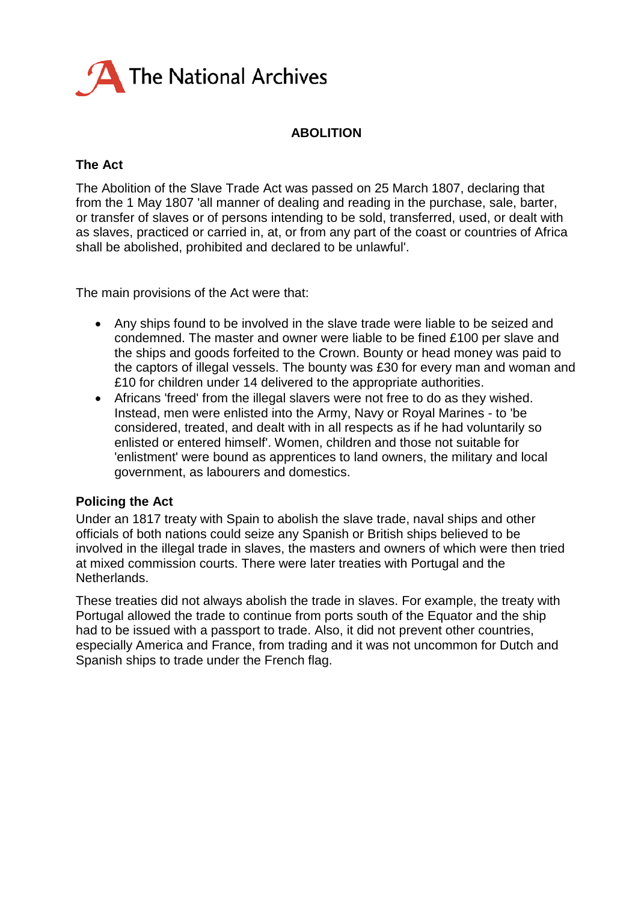

## **ABOLITION**

## **The Act**

The Abolition of the Slave Trade Act was passed on 25 March 1807, declaring that from the 1 May 1807 'all manner of dealing and reading in the purchase, sale, barter, or transfer of slaves or of persons intending to be sold, transferred, used, or dealt with as slaves, practiced or carried in, at, or from any part of the coast or countries of Africa shall be abolished, prohibited and declared to be unlawful'.

The main provisions of the Act were that:

- Any ships found to be involved in the slave trade were liable to be seized and condemned. The master and owner were liable to be fined £100 per slave and the ships and goods forfeited to the Crown. Bounty or head money was paid to the captors of illegal vessels. The bounty was £30 for every man and woman and £10 for children under 14 delivered to the appropriate authorities.
- Africans 'freed' from the illegal slavers were not free to do as they wished. Instead, men were enlisted into the Army, Navy or Royal Marines - to 'be considered, treated, and dealt with in all respects as if he had voluntarily so enlisted or entered himself'. Women, children and those not suitable for 'enlistment' were bound as apprentices to land owners, the military and local government, as labourers and domestics.

## **Policing the Act**

Under an 1817 treaty with Spain to abolish the slave trade, naval ships and other officials of both nations could seize any Spanish or British ships believed to be involved in the illegal trade in slaves, the masters and owners of which were then tried at mixed commission courts. There were later treaties with Portugal and the **Netherlands** 

These treaties did not always abolish the trade in slaves. For example, the treaty with Portugal allowed the trade to continue from ports south of the Equator and the ship had to be issued with a passport to trade. Also, it did not prevent other countries, especially America and France, from trading and it was not uncommon for Dutch and Spanish ships to trade under the French flag.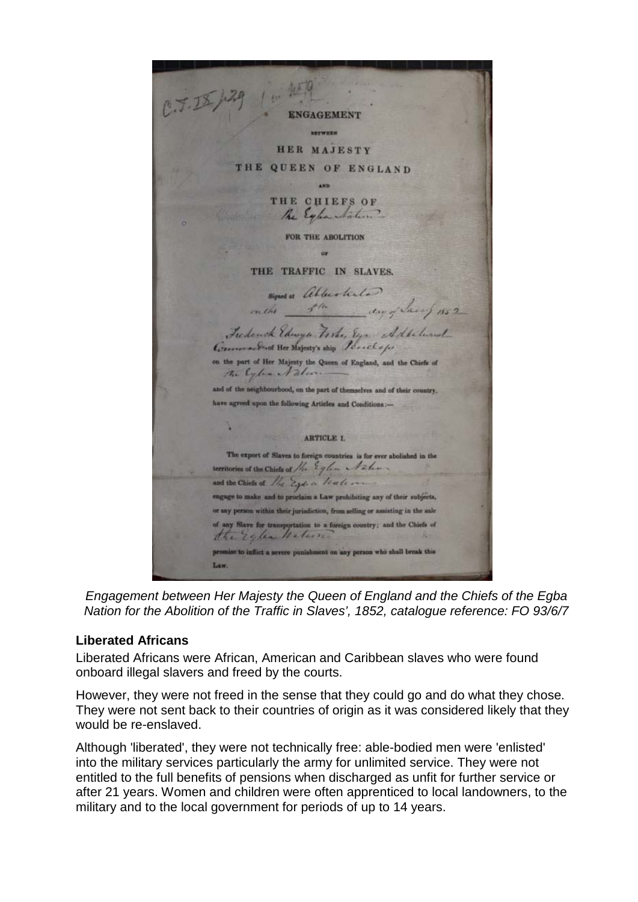**ENGAGEMENT METWEEN HER MAJESTY** THE QUEEN OF ENGLAND THE CHIEFS OF The Expandation FOR THE ABOLITION or THE TRAFFIC IN SLAVES. Siones a abbertato outh the day of Jacob 1852 Frederick Edwyn Forke, Eye Addition Commercial Her Majesty's ship Ponelspe on the part of Her Majesty the Queen of England, and the Chiefs of the Cylin Advan and of the neighbourhood, on the part of themselves and of their country. have agreed upon the following Articles and Conditions:-ARTICLE I. The export of Slaves to foreign countries is for ever abolished in the territories of the Chicle of the Eylen Nahma and the Chiefs of the Esden lealers engage to make and to proclaim a Law prohibiting any of their subjects, son within their jurisdiction, from selling or assisting in the sale of any Slave for transportation to a foreign country; and the Chiefs of  $\frac{d}{dx}$   $\frac{d}{dx}$   $\frac{d}{dx}$   $\frac{d}{dx}$   $\frac{d}{dx}$   $\frac{d}{dx}$ promise to inflict a severe punishment on any person who shall break this

*Engagement between Her Majesty the Queen of England and the Chiefs of the Egba Nation for the Abolition of the Traffic in Slaves', 1852, catalogue reference: FO 93/6/7*

## **Liberated Africans**

Liberated Africans were African, American and Caribbean slaves who were found onboard illegal slavers and freed by the courts.

However, they were not freed in the sense that they could go and do what they chose. They were not sent back to their countries of origin as it was considered likely that they would be re-enslaved.

Although 'liberated', they were not technically free: able-bodied men were 'enlisted' into the military services particularly the army for unlimited service. They were not entitled to the full benefits of pensions when discharged as unfit for further service or after 21 years. Women and children were often apprenticed to local landowners, to the military and to the local government for periods of up to 14 years.